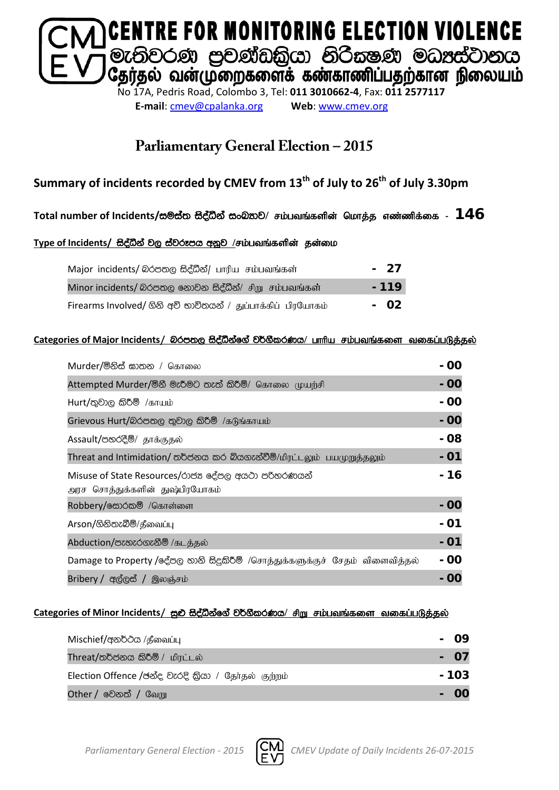

**E-mail**: [cmev@cpalanka.org](mailto:cmev@cpalanka.org) **Web**: [www.cmev.org](http://www.cmev.org/)

## **Parliamentary General Election – 2015**

### **Summary of incidents recorded by CMEV from 13th of July to 26th of July 3.30pm**

#### Total number of Incidents/සම්ස්ත සිද්ධීන් සංඛ**නව/ சம்பவங்களின் மொத்த** எண்ணிக்கை - 146

#### Type of Incidents/ සිද්ධීන් වල ස්වරූපය අනූව /சம்பவங்களின் தன்மை

| Major incidents/ லெக்ஸ்டு සිද්ධීන්/ பாரிய சம்பவங்கள்         | - 27   |
|--------------------------------------------------------------|--------|
| Minor incidents/ බරපතල නොවන සිද්ධීන්/ சிறு சம்பவங்கள்        | $-119$ |
| Firearms Involved/ ගිනි අව් භාවිතයන් / துப்பாக்கிப் பிரயோகம் | - 02   |

#### **Categories of Major Incidents/** nrm;, i so aëkaf. a j¾. SlrKh**/** ghhpa rk;gtq ;fis tifg ;gLj;jy ;

| Murder/මිනිස් ඝාතන / கொலை                                                            | - 00      |
|--------------------------------------------------------------------------------------|-----------|
| Attempted Murder/මිනී මැරීමට තැත් කිරීම්/ கொலை முயற்சி                               | - 00      |
| $Hurt /$ තුවාල කිරීම් /காயம்                                                         | - 00      |
| Grievous Hurt/බරපතල තුවාල කිරීම් /கடுங்காயம்                                         | - 00      |
| Assault/පහරදීම්/ தாக்குதல்                                                           | - 08      |
| Threat and Intimidation/ තර්ජනය කර බියගැන්වීම්/மிரட்டலும் பயமுறுத்தலும்              | - 01      |
| Misuse of State Resources/රාජන දේපල අයථා පරිතරණයන්<br>அரச சொத்துக்களின் துஷ்பிரயோகம் | - 16      |
| Robbery/க்லேல் /கொள்ளை                                                               | - 00      |
| Arson/ගිනිතැබීම්/தீவைப்பு                                                            | - 01      |
| Abduction/පැහැරගැනීම් /கடத்தல்                                                       | - 01      |
| Damage to Property /දේපල හානි සිදුකිරීම් /சொத்துக்களுக்குச் சேதம் விளைவித்தல்        | - 00      |
| Bribery / අල්ලස් / இலஞ்சம்                                                           | <b>00</b> |

#### Categories of Minor Incidents/ සුළු සිද්ධීන්ගේ වර්ගීකරණය/ சிறு சம்பவங்களை வகைப்படுத்தல்

| Mischief/අනර්ථය /தீவைப்பு                           | <b>09</b> |
|-----------------------------------------------------|-----------|
| Threat/තර්ජනය කිරීම් / மிரட்டல்                     | - 07      |
| Election Offence /ඡන්ද වැරදි කියා / தேர்தல் குற்றம் | - 103     |
| <b>Other / වෙ</b> නත් / வேறு                        |           |

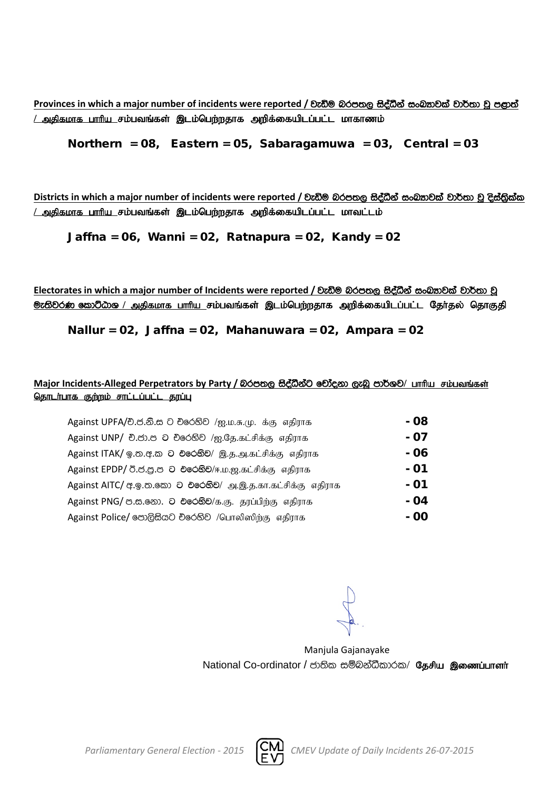**Provinces** in which a major number of incidents were reported / වැඩිම බරපතල සිද්ධීන් සංඛතාවක් වාර්තා වූ පළාත් <u>/ அகிகமாக பாரிய சம்பவங்கள் இடம்பெற்றதாக அறிக்கையிடப்பட்ட மாகாணம்</u>

Northern =  $08$ , Eastern =  $05$ , Sabaragamuwa =  $03$ , Central =  $03$ 

**Districts** in which a major number of incidents were reported / වැඩිම බරපතල සිද්ධීන් සංඛකවක් වාර්තා වූ දිස්තිුක්ක <u>/ அதிகமாக பாரிய சம்பவங்கள் இடம்பெற்றதாக அறிக்கையிடப்பட்ட மாவட்டம்</u>

Jaffna = 06, Wanni = 02, Ratnapura = 02, Kandy = 02

Electorates in which a major number of Incidents were reported / වැඩිම බරපතල සිද්ධීන් සංබ<sub>්</sub>තවක් වාර්තා වූ <mark>ூ: ல</mark>ிவ் கூறிமை / அதிகமாக பாரிய சம்பவங்கள் இடம்பெற்றதாக அறிக்கையிடப்பட்ட தேர்தல் தொகுதி

Nallur = 02, Jaffna = 02, Mahanuwara = 02, Ampara = 02

#### Major Incidents-Alleged Perpetrators by Party / බරපතල සිද්ධීන්ට චෝදනා ලැබූ පාර්ශව/ பாரிய சம்பவங்கள் <u>தொடர்பாக குற்றம் சாட்டப்பட்ட தரப்பு</u>

| Against UPFA/චි.ජ.නි.ස ට චිරෙහිව /ஐ.ம.சு.மு. க்கு எதிராக            | - 08 |
|---------------------------------------------------------------------|------|
| Against UNP/ චි.ජා.ප ට චිරෙහිව /ஐ.தே.கட்சிக்கு எதிராக               | - 07 |
| Against ITAK/ ஒ.ல. ச. ல 0 එරෙහිව/ இ.த.அ.கட்சிக்கு எதிராக            | - 06 |
| Against EPDP/ 0.8.8.8 ට එරෙහිව/ஈ.ம.ஜ.கட்சிக்கு எதிராக               | - 01 |
| Against AITC/ අ. இ. ஐ. இலை 2 එලෙහි ව/ அ. இ. த. கா. கட்சிக்கு எதிராக | - 01 |
| Against PNG/ ප.ස.නො. ට එරෙහිව/க.கு. தரப்பிற்கு எதிராக               | - 04 |
| Against Police/ පොලිසියට චරෙහිව /பொலிஸிற்கு எதிராக                  | - 00 |

Manjula Gajanayake National Co-ordinator / ජාතික සම්බන්ධීකාරක/ தேசிய இணைப்பாளர்

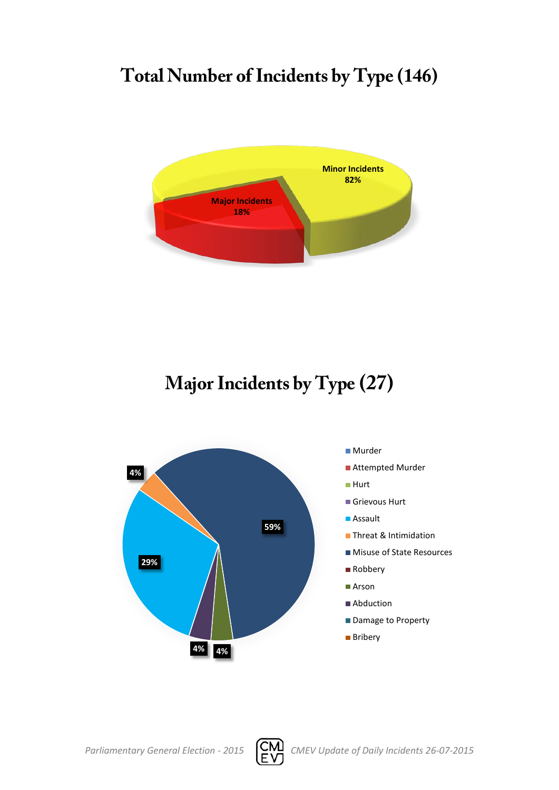# **Total Number of Incidents by Type (146)**



**Major Incidents by Type (27)**





- Attempted Murder
- Hurt
- Grievous Hurt
- Assault
- **Threat & Intimidation**
- Misuse of State Resources
- Robbery
- Arson
- Abduction
- Damage to Property
- **Bribery**